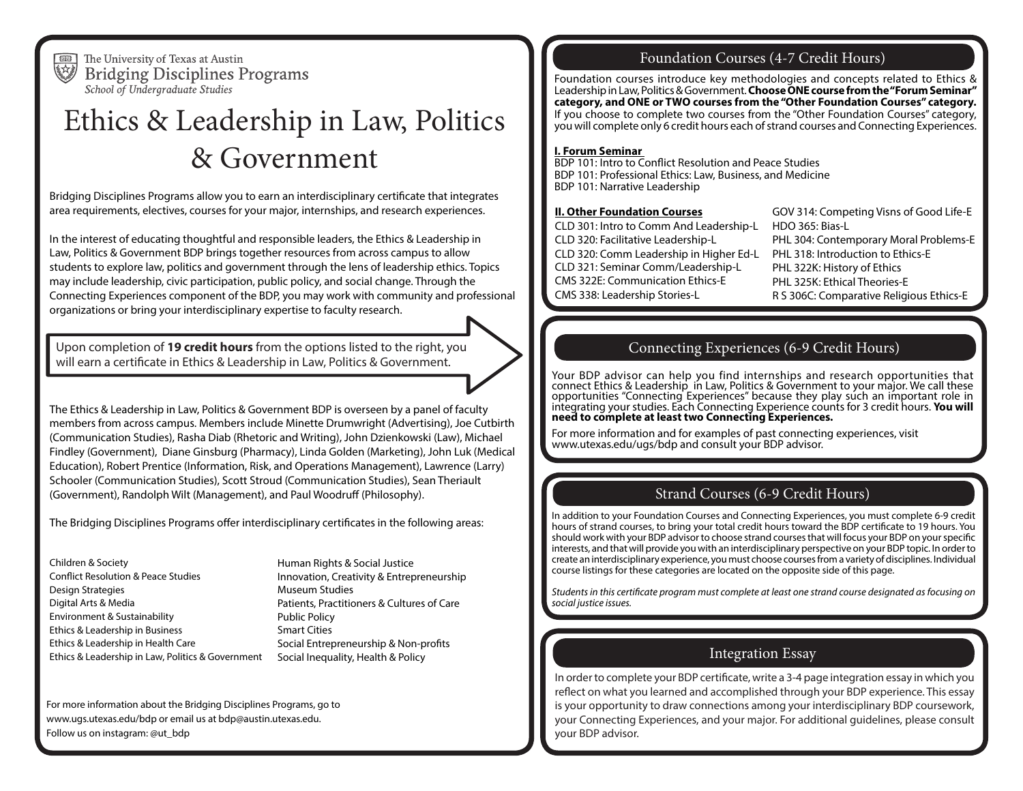画 熔

The University of Texas at Austin **Bridging Disciplines Programs** School of Undergraduate Studies

# Ethics & Leadership in Law, Politics & Government

Bridging Disciplines Programs allow you to earn an interdisciplinary certificate that integrates area requirements, electives, courses for your major, internships, and research experiences.

In the interest of educating thoughtful and responsible leaders, the Ethics & Leadership in Law, Politics & Government BDP brings together resources from across campus to allow students to explore law, politics and government through the lens of leadership ethics. Topics may include leadership, civic participation, public policy, and social change. Through the Connecting Experiences component of the BDP, you may work with community and professional organizations or bring your interdisciplinary expertise to faculty research.

Upon completion of **19 credit hours** from the options listed to the right, you will earn a certificate in Ethics & Leadership in Law, Politics & Government.

The Ethics & Leadership in Law, Politics & Government BDP is overseen by a panel of faculty members from across campus. Members include Minette Drumwright (Advertising), Joe Cutbirth (Communication Studies), Rasha Diab (Rhetoric and Writing), John Dzienkowski (Law), Michael Findley (Government), Diane Ginsburg (Pharmacy), Linda Golden (Marketing), John Luk (Medical Education), Robert Prentice (Information, Risk, and Operations Management), Lawrence (Larry) Schooler (Communication Studies), Scott Stroud (Communication Studies), Sean Theriault (Government), Randolph Wilt (Management), and Paul Woodruff (Philosophy).

The Bridging Disciplines Programs offer interdisciplinary certificates in the following areas:

Children & Society Conflict Resolution & Peace Studies Design Strategies Digital Arts & Media Environment & Sustainability Ethics & Leadership in Business Ethics & Leadership in Health Care Ethics & Leadership in Law, Politics & Government

Human Rights & Social Justice Innovation, Creativity & Entrepreneurship Museum Studies Patients, Practitioners & Cultures of Care Public Policy Smart Cities Social Entrepreneurship & Non-profits Social Inequality, Health & Policy

For more information about the Bridging Disciplines Programs, go to www.ugs.utexas.edu/bdp or email us at bdp@austin.utexas.edu. Follow us on instagram: @ut\_bdp

## Foundation Courses (4-7 Credit Hours)

Foundation courses introduce key methodologies and concepts related to Ethics & Leadership in Law, Politics & Government. **Choose ONE course from the "Forum Seminar" category, and ONE or TWO courses from the "Other Foundation Courses" category.**  If you choose to complete two courses from the "Other Foundation Courses" category, you will complete only 6 credit hours each of strand courses and Connecting Experiences.

#### **I. Forum Seminar**

BDP 101: Intro to Conflict Resolution and Peace Studies BDP 101: Professional Ethics: Law, Business, and Medicine BDP 101: Narrative Leadership

#### **II. Other Foundation Courses**

CLD 301: Intro to Comm And Leadership-L CLD 320: Facilitative Leadership-L CLD 320: Comm Leadership in Higher Ed-L CLD 321: Seminar Comm/Leadership-L CMS 322E: Communication Ethics-E CMS 338: Leadership Stories-L

GOV 314: Competing Visns of Good Life-E HDO 365: Bias-L PHL 304: Contemporary Moral Problems-E PHL 318: Introduction to Ethics-E PHL 322K: History of Ethics PHL 325K: Ethical Theories-E R S 306C: Comparative Religious Ethics-E

## Connecting Experiences (6-9 Credit Hours)

Your BDP advisor can help you find internships and research opportunities that connect Ethics & Leadership in Law, Politics & Government to your major. We call these opportunities "Connecting Experiences" because they play súch an important role in<br>integrating your studies. Each Connecting Experience counts for 3 credit hours. **You will**<br>**need to complete at least two Connecting Experi** 

For more information and for examples of past connecting experiences, visit www.utexas.edu/ugs/bdp and consult your BDP advisor.

# Strand Courses (6-9 Credit Hours)

In addition to your Foundation Courses and Connecting Experiences, you must complete 6-9 credit hours of strand courses, to bring your total credit hours toward the BDP certificate to 19 hours. You should work with your BDP advisor to choose strand courses that will focus your BDP on your specific interests, and that will provide you with an interdisciplinary perspective on your BDP topic. In order to create an interdisciplinary experience, you must choose courses from a variety of disciplines. Individual course listings for these categories are located on the opposite side of this page.

*Students in this certificate program must complete at least one strand course designated as focusing on social justice issues.*

## Integration Essay

In order to complete your BDP certificate, write a 3-4 page integration essay in which you reflect on what you learned and accomplished through your BDP experience. This essay is your opportunity to draw connections among your interdisciplinary BDP coursework, your Connecting Experiences, and your major. For additional guidelines, please consult your BDP advisor.